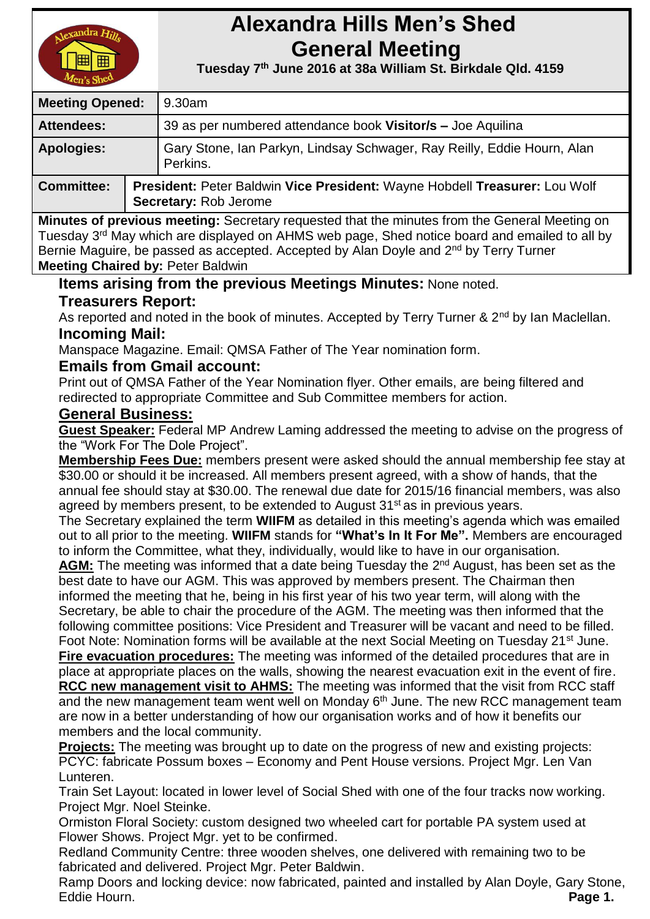

# **Alexandra Hills Men's Shed General Meeting**

 **Tuesday 7 th June 2016 at 38a William St. Birkdale Qld. 4159** 

| <b>Meeting Opened:</b> |  | 9.30am                                                                                              |  |
|------------------------|--|-----------------------------------------------------------------------------------------------------|--|
| <b>Attendees:</b>      |  | 39 as per numbered attendance book Visitor/s - Joe Aquilina                                         |  |
| <b>Apologies:</b>      |  | Gary Stone, Ian Parkyn, Lindsay Schwager, Ray Reilly, Eddie Hourn, Alan<br>Perkins.                 |  |
| <b>Committee:</b>      |  | President: Peter Baldwin Vice President: Wayne Hobdell Treasurer: Lou Wolf<br>Secretary: Rob Jerome |  |

**Minutes of previous meeting:** Secretary requested that the minutes from the General Meeting on Tuesday 3<sup>rd</sup> May which are displayed on AHMS web page, Shed notice board and emailed to all by Bernie Maguire, be passed as accepted. Accepted by Alan Doyle and 2<sup>nd</sup> by Terry Turner **Meeting Chaired by:** Peter Baldwin

#### **Items arising from the previous Meetings Minutes:** None noted. **Treasurers Report:**

As reported and noted in the book of minutes. Accepted by Terry Turner & 2<sup>nd</sup> by Ian Maclellan. **Incoming Mail:**

Manspace Magazine. Email: QMSA Father of The Year nomination form.

## **Emails from Gmail account:**

Print out of QMSA Father of the Year Nomination flyer. Other emails, are being filtered and redirected to appropriate Committee and Sub Committee members for action.

#### **General Business:**

**Guest Speaker:** Federal MP Andrew Laming addressed the meeting to advise on the progress of the "Work For The Dole Project".

**Membership Fees Due:** members present were asked should the annual membership fee stay at \$30.00 or should it be increased. All members present agreed, with a show of hands, that the annual fee should stay at \$30.00. The renewal due date for 2015/16 financial members, was also agreed by members present, to be extended to August 31<sup>st</sup> as in previous years.

The Secretary explained the term **WIIFM** as detailed in this meeting's agenda which was emailed out to all prior to the meeting. **WIIFM** stands for **"What's In It For Me".** Members are encouraged to inform the Committee, what they, individually, would like to have in our organisation.

AGM: The meeting was informed that a date being Tuesday the 2<sup>nd</sup> August, has been set as the best date to have our AGM. This was approved by members present. The Chairman then informed the meeting that he, being in his first year of his two year term, will along with the Secretary, be able to chair the procedure of the AGM. The meeting was then informed that the following committee positions: Vice President and Treasurer will be vacant and need to be filled.

Foot Note: Nomination forms will be available at the next Social Meeting on Tuesday 21<sup>st</sup> June. **Fire evacuation procedures:** The meeting was informed of the detailed procedures that are in

place at appropriate places on the walls, showing the nearest evacuation exit in the event of fire. **RCC new management visit to AHMS:** The meeting was informed that the visit from RCC staff and the new management team went well on Monday 6<sup>th</sup> June. The new RCC management team are now in a better understanding of how our organisation works and of how it benefits our members and the local community.

**Projects:** The meeting was brought up to date on the progress of new and existing projects: PCYC: fabricate Possum boxes – Economy and Pent House versions. Project Mgr. Len Van Lunteren.

Train Set Layout: located in lower level of Social Shed with one of the four tracks now working. Project Mgr. Noel Steinke.

Ormiston Floral Society: custom designed two wheeled cart for portable PA system used at Flower Shows. Project Mgr. yet to be confirmed.

Redland Community Centre: three wooden shelves, one delivered with remaining two to be fabricated and delivered. Project Mgr. Peter Baldwin.

Ramp Doors and locking device: now fabricated, painted and installed by Alan Doyle, Gary Stone, Eddie Hourn. **Page 1.**